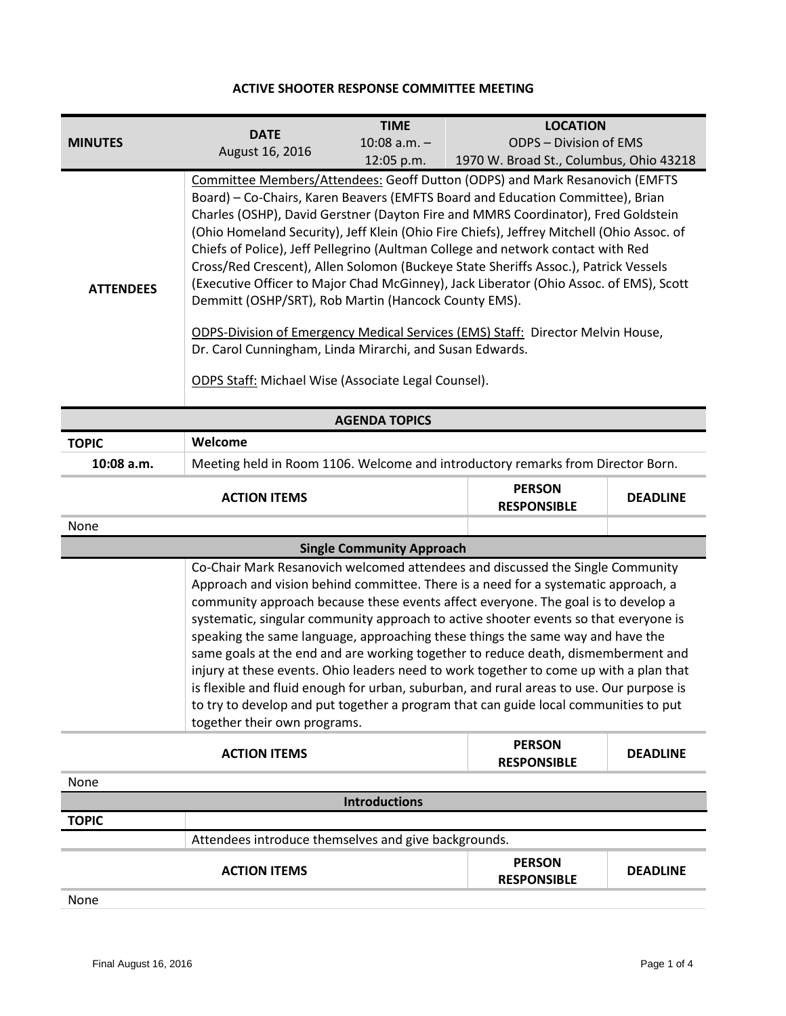## **ACTIVE SHOOTER RESPONSE COMMITTEE MEETING**

| <b>MINUTES</b>       | <b>DATE</b>     | <b>TIME</b><br>$10:08$ a.m. $-$                                                                                                                                                                                                                                                                                                                                                                                                                                                                                                                                                                                                                                                                                                                                                                                                                                                    | <b>LOCATION</b><br>ODPS – Division of EMS |
|----------------------|-----------------|------------------------------------------------------------------------------------------------------------------------------------------------------------------------------------------------------------------------------------------------------------------------------------------------------------------------------------------------------------------------------------------------------------------------------------------------------------------------------------------------------------------------------------------------------------------------------------------------------------------------------------------------------------------------------------------------------------------------------------------------------------------------------------------------------------------------------------------------------------------------------------|-------------------------------------------|
|                      | August 16, 2016 | $12:05$ p.m.                                                                                                                                                                                                                                                                                                                                                                                                                                                                                                                                                                                                                                                                                                                                                                                                                                                                       | 1970 W. Broad St., Columbus, Ohio 43218   |
| <b>ATTENDEES</b>     |                 | Committee Members/Attendees: Geoff Dutton (ODPS) and Mark Resanovich (EMFTS<br>Board) - Co-Chairs, Karen Beavers (EMFTS Board and Education Committee), Brian<br>Charles (OSHP), David Gerstner (Dayton Fire and MMRS Coordinator), Fred Goldstein<br>(Ohio Homeland Security), Jeff Klein (Ohio Fire Chiefs), Jeffrey Mitchell (Ohio Assoc. of<br>Chiefs of Police), Jeff Pellegrino (Aultman College and network contact with Red<br>Cross/Red Crescent), Allen Solomon (Buckeye State Sheriffs Assoc.), Patrick Vessels<br>(Executive Officer to Major Chad McGinney), Jack Liberator (Ohio Assoc. of EMS), Scott<br>Demmitt (OSHP/SRT), Rob Martin (Hancock County EMS).<br>ODPS-Division of Emergency Medical Services (EMS) Staff: Director Melvin House,<br>Dr. Carol Cunningham, Linda Mirarchi, and Susan Edwards.<br>ODPS Staff: Michael Wise (Associate Legal Counsel). |                                           |
| <b>AGENDA TOPICS</b> |                 |                                                                                                                                                                                                                                                                                                                                                                                                                                                                                                                                                                                                                                                                                                                                                                                                                                                                                    |                                           |
| TOPIC                | Welcome         |                                                                                                                                                                                                                                                                                                                                                                                                                                                                                                                                                                                                                                                                                                                                                                                                                                                                                    |                                           |

| 10:08 a.m. | Meeting held in Room 1106. Welcome and introductory remarks from Director Born. |
|------------|---------------------------------------------------------------------------------|

| <b>ACTION ITEMS</b> | <b>PERSON</b><br><b>RESPONSIBLE</b> | <b>DEADLINE</b> |
|---------------------|-------------------------------------|-----------------|
| None                |                                     |                 |

## **Single Community Approach**

Co-Chair Mark Resanovich welcomed attendees and discussed the Single Community Approach and vision behind committee. There is a need for a systematic approach, a community approach because these events affect everyone. The goal is to develop a systematic, singular community approach to active shooter events so that everyone is speaking the same language, approaching these things the same way and have the same goals at the end and are working together to reduce death, dismemberment and injury at these events. Ohio leaders need to work together to come up with a plan that is flexible and fluid enough for urban, suburban, and rural areas to use. Our purpose is to try to develop and put together a program that can guide local communities to put together their own programs.

|                                                      | <b>ACTION ITEMS</b> | <b>PERSON</b><br><b>RESPONSIBLE</b> | <b>DEADLINE</b> |
|------------------------------------------------------|---------------------|-------------------------------------|-----------------|
| None                                                 |                     |                                     |                 |
| <b>Introductions</b>                                 |                     |                                     |                 |
| <b>TOPIC</b>                                         |                     |                                     |                 |
| Attendees introduce themselves and give backgrounds. |                     |                                     |                 |
|                                                      | <b>ACTION ITEMS</b> | <b>PERSON</b><br><b>RESPONSIBLE</b> | <b>DEADLINE</b> |

None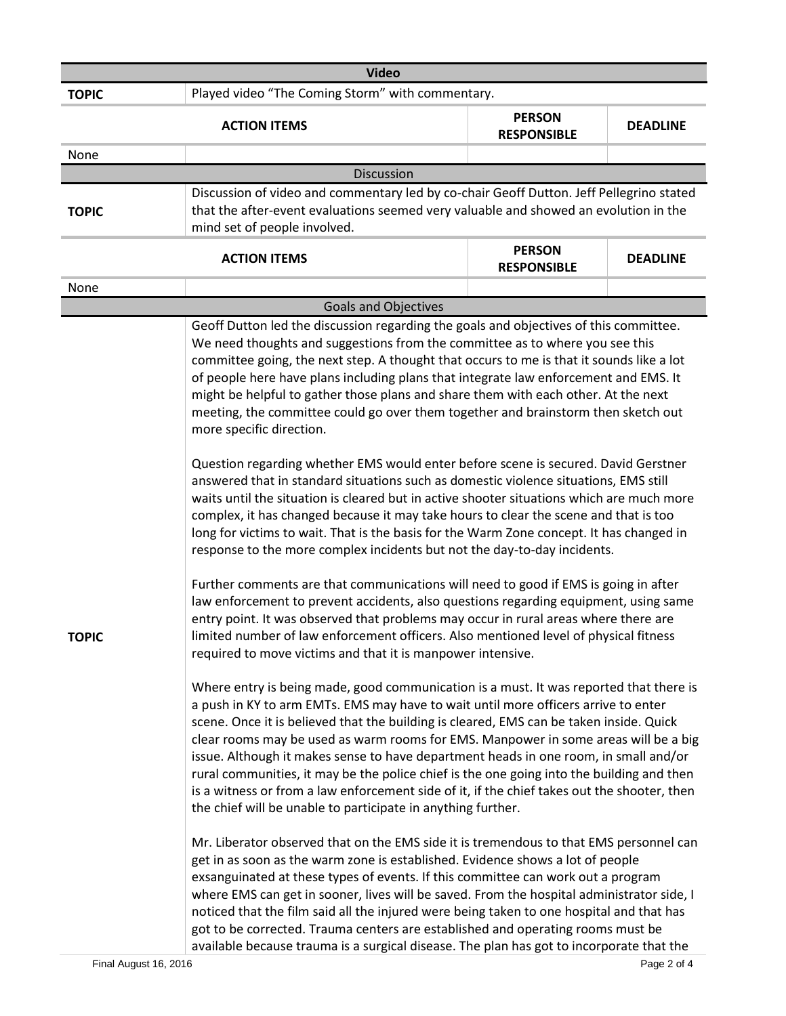| <b>Video</b> |                                                                                                                                                                                                                                                                                                     |                                                                                                                                                                                                                                                                                                                                                                                                                                                                                                                                                                                                                                                                                                                                                                                                                                                                                                                                                                                                                                                                                                                                                                                                                                                                                                                                                                                                                                                                                                                                                                                                                                                                                                                                                                                                                                                                                                                                                                                                                                                                                                                                                                                                                                                                                                                                                                                                                                                                                                                                                                                                 |                 |
|--------------|-----------------------------------------------------------------------------------------------------------------------------------------------------------------------------------------------------------------------------------------------------------------------------------------------------|-------------------------------------------------------------------------------------------------------------------------------------------------------------------------------------------------------------------------------------------------------------------------------------------------------------------------------------------------------------------------------------------------------------------------------------------------------------------------------------------------------------------------------------------------------------------------------------------------------------------------------------------------------------------------------------------------------------------------------------------------------------------------------------------------------------------------------------------------------------------------------------------------------------------------------------------------------------------------------------------------------------------------------------------------------------------------------------------------------------------------------------------------------------------------------------------------------------------------------------------------------------------------------------------------------------------------------------------------------------------------------------------------------------------------------------------------------------------------------------------------------------------------------------------------------------------------------------------------------------------------------------------------------------------------------------------------------------------------------------------------------------------------------------------------------------------------------------------------------------------------------------------------------------------------------------------------------------------------------------------------------------------------------------------------------------------------------------------------------------------------------------------------------------------------------------------------------------------------------------------------------------------------------------------------------------------------------------------------------------------------------------------------------------------------------------------------------------------------------------------------------------------------------------------------------------------------------------------------|-----------------|
| <b>TOPIC</b> | Played video "The Coming Storm" with commentary.                                                                                                                                                                                                                                                    |                                                                                                                                                                                                                                                                                                                                                                                                                                                                                                                                                                                                                                                                                                                                                                                                                                                                                                                                                                                                                                                                                                                                                                                                                                                                                                                                                                                                                                                                                                                                                                                                                                                                                                                                                                                                                                                                                                                                                                                                                                                                                                                                                                                                                                                                                                                                                                                                                                                                                                                                                                                                 |                 |
|              | <b>ACTION ITEMS</b>                                                                                                                                                                                                                                                                                 | <b>PERSON</b><br><b>RESPONSIBLE</b>                                                                                                                                                                                                                                                                                                                                                                                                                                                                                                                                                                                                                                                                                                                                                                                                                                                                                                                                                                                                                                                                                                                                                                                                                                                                                                                                                                                                                                                                                                                                                                                                                                                                                                                                                                                                                                                                                                                                                                                                                                                                                                                                                                                                                                                                                                                                                                                                                                                                                                                                                             | <b>DEADLINE</b> |
| None         |                                                                                                                                                                                                                                                                                                     |                                                                                                                                                                                                                                                                                                                                                                                                                                                                                                                                                                                                                                                                                                                                                                                                                                                                                                                                                                                                                                                                                                                                                                                                                                                                                                                                                                                                                                                                                                                                                                                                                                                                                                                                                                                                                                                                                                                                                                                                                                                                                                                                                                                                                                                                                                                                                                                                                                                                                                                                                                                                 |                 |
|              | <b>Discussion</b>                                                                                                                                                                                                                                                                                   |                                                                                                                                                                                                                                                                                                                                                                                                                                                                                                                                                                                                                                                                                                                                                                                                                                                                                                                                                                                                                                                                                                                                                                                                                                                                                                                                                                                                                                                                                                                                                                                                                                                                                                                                                                                                                                                                                                                                                                                                                                                                                                                                                                                                                                                                                                                                                                                                                                                                                                                                                                                                 |                 |
| <b>TOPIC</b> | Discussion of video and commentary led by co-chair Geoff Dutton. Jeff Pellegrino stated<br>that the after-event evaluations seemed very valuable and showed an evolution in the<br>mind set of people involved.                                                                                     |                                                                                                                                                                                                                                                                                                                                                                                                                                                                                                                                                                                                                                                                                                                                                                                                                                                                                                                                                                                                                                                                                                                                                                                                                                                                                                                                                                                                                                                                                                                                                                                                                                                                                                                                                                                                                                                                                                                                                                                                                                                                                                                                                                                                                                                                                                                                                                                                                                                                                                                                                                                                 |                 |
|              | <b>ACTION ITEMS</b>                                                                                                                                                                                                                                                                                 | <b>PERSON</b><br><b>RESPONSIBLE</b>                                                                                                                                                                                                                                                                                                                                                                                                                                                                                                                                                                                                                                                                                                                                                                                                                                                                                                                                                                                                                                                                                                                                                                                                                                                                                                                                                                                                                                                                                                                                                                                                                                                                                                                                                                                                                                                                                                                                                                                                                                                                                                                                                                                                                                                                                                                                                                                                                                                                                                                                                             | <b>DEADLINE</b> |
| None         |                                                                                                                                                                                                                                                                                                     |                                                                                                                                                                                                                                                                                                                                                                                                                                                                                                                                                                                                                                                                                                                                                                                                                                                                                                                                                                                                                                                                                                                                                                                                                                                                                                                                                                                                                                                                                                                                                                                                                                                                                                                                                                                                                                                                                                                                                                                                                                                                                                                                                                                                                                                                                                                                                                                                                                                                                                                                                                                                 |                 |
|              | <b>Goals and Objectives</b>                                                                                                                                                                                                                                                                         |                                                                                                                                                                                                                                                                                                                                                                                                                                                                                                                                                                                                                                                                                                                                                                                                                                                                                                                                                                                                                                                                                                                                                                                                                                                                                                                                                                                                                                                                                                                                                                                                                                                                                                                                                                                                                                                                                                                                                                                                                                                                                                                                                                                                                                                                                                                                                                                                                                                                                                                                                                                                 |                 |
| TOPIC        | more specific direction.<br>noticed that the film said all the injured were being taken to one hospital and that has<br>got to be corrected. Trauma centers are established and operating rooms must be<br>available because trauma is a surgical disease. The plan has got to incorporate that the | Geoff Dutton led the discussion regarding the goals and objectives of this committee.<br>We need thoughts and suggestions from the committee as to where you see this<br>committee going, the next step. A thought that occurs to me is that it sounds like a lot<br>of people here have plans including plans that integrate law enforcement and EMS. It<br>might be helpful to gather those plans and share them with each other. At the next<br>meeting, the committee could go over them together and brainstorm then sketch out<br>Question regarding whether EMS would enter before scene is secured. David Gerstner<br>answered that in standard situations such as domestic violence situations, EMS still<br>waits until the situation is cleared but in active shooter situations which are much more<br>complex, it has changed because it may take hours to clear the scene and that is too<br>long for victims to wait. That is the basis for the Warm Zone concept. It has changed in<br>response to the more complex incidents but not the day-to-day incidents.<br>Further comments are that communications will need to good if EMS is going in after<br>law enforcement to prevent accidents, also questions regarding equipment, using same<br>entry point. It was observed that problems may occur in rural areas where there are<br>limited number of law enforcement officers. Also mentioned level of physical fitness<br>required to move victims and that it is manpower intensive.<br>Where entry is being made, good communication is a must. It was reported that there is<br>a push in KY to arm EMTs. EMS may have to wait until more officers arrive to enter<br>scene. Once it is believed that the building is cleared, EMS can be taken inside. Quick<br>clear rooms may be used as warm rooms for EMS. Manpower in some areas will be a big<br>issue. Although it makes sense to have department heads in one room, in small and/or<br>rural communities, it may be the police chief is the one going into the building and then<br>is a witness or from a law enforcement side of it, if the chief takes out the shooter, then<br>the chief will be unable to participate in anything further.<br>Mr. Liberator observed that on the EMS side it is tremendous to that EMS personnel can<br>get in as soon as the warm zone is established. Evidence shows a lot of people<br>exsanguinated at these types of events. If this committee can work out a program<br>where EMS can get in sooner, lives will be saved. From the hospital administrator side, I |                 |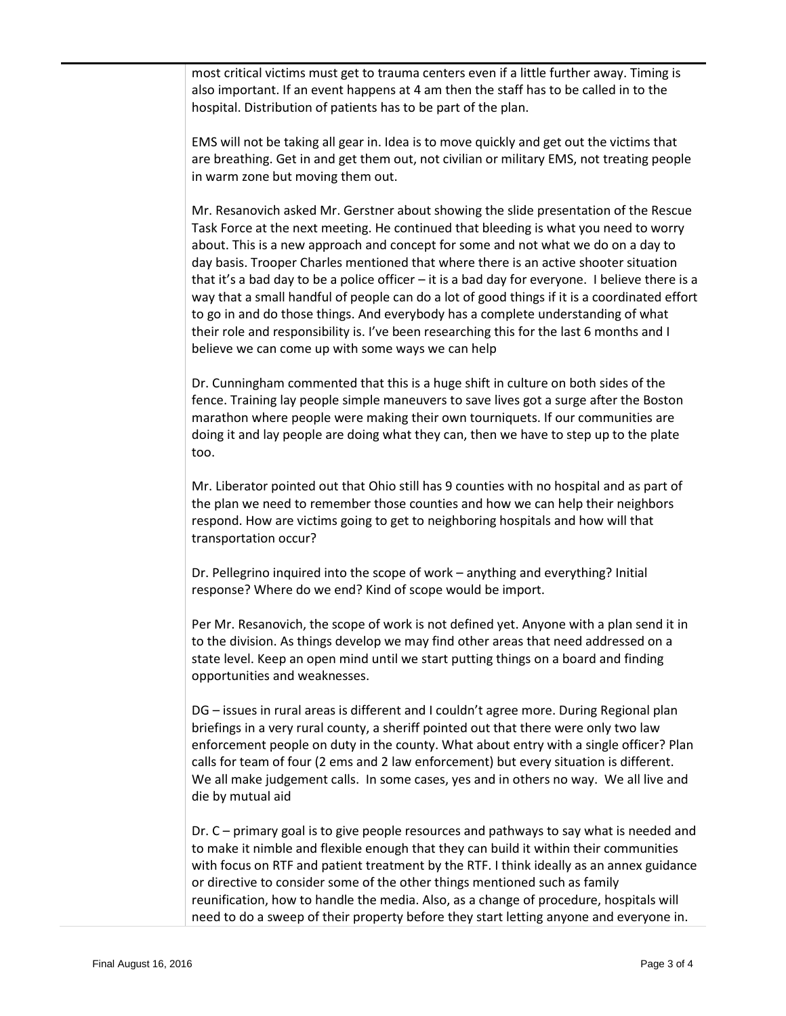most critical victims must get to trauma centers even if a little further away. Timing is also important. If an event happens at 4 am then the staff has to be called in to the hospital. Distribution of patients has to be part of the plan.

EMS will not be taking all gear in. Idea is to move quickly and get out the victims that are breathing. Get in and get them out, not civilian or military EMS, not treating people in warm zone but moving them out.

Mr. Resanovich asked Mr. Gerstner about showing the slide presentation of the Rescue Task Force at the next meeting. He continued that bleeding is what you need to worry about. This is a new approach and concept for some and not what we do on a day to day basis. Trooper Charles mentioned that where there is an active shooter situation that it's a bad day to be a police officer – it is a bad day for everyone. I believe there is a way that a small handful of people can do a lot of good things if it is a coordinated effort to go in and do those things. And everybody has a complete understanding of what their role and responsibility is. I've been researching this for the last 6 months and I believe we can come up with some ways we can help

Dr. Cunningham commented that this is a huge shift in culture on both sides of the fence. Training lay people simple maneuvers to save lives got a surge after the Boston marathon where people were making their own tourniquets. If our communities are doing it and lay people are doing what they can, then we have to step up to the plate too.

Mr. Liberator pointed out that Ohio still has 9 counties with no hospital and as part of the plan we need to remember those counties and how we can help their neighbors respond. How are victims going to get to neighboring hospitals and how will that transportation occur?

Dr. Pellegrino inquired into the scope of work – anything and everything? Initial response? Where do we end? Kind of scope would be import.

Per Mr. Resanovich, the scope of work is not defined yet. Anyone with a plan send it in to the division. As things develop we may find other areas that need addressed on a state level. Keep an open mind until we start putting things on a board and finding opportunities and weaknesses.

DG – issues in rural areas is different and I couldn't agree more. During Regional plan briefings in a very rural county, a sheriff pointed out that there were only two law enforcement people on duty in the county. What about entry with a single officer? Plan calls for team of four (2 ems and 2 law enforcement) but every situation is different. We all make judgement calls. In some cases, yes and in others no way. We all live and die by mutual aid

Dr. C – primary goal is to give people resources and pathways to say what is needed and to make it nimble and flexible enough that they can build it within their communities with focus on RTF and patient treatment by the RTF. I think ideally as an annex guidance or directive to consider some of the other things mentioned such as family reunification, how to handle the media. Also, as a change of procedure, hospitals will need to do a sweep of their property before they start letting anyone and everyone in.